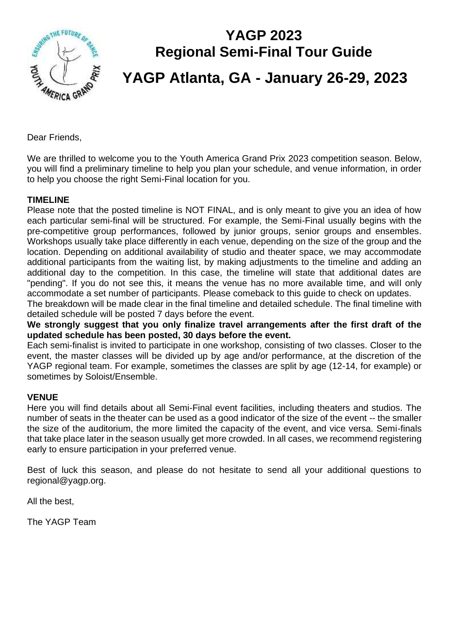

# **YAGP 2023 Regional Semi-Final Tour Guide YAGP Atlanta, GA - January 26-29, 2023**

Dear Friends,

We are thrilled to welcome you to the Youth America Grand Prix 2023 competition season. Below, you will find a preliminary timeline to help you plan your schedule, and venue information, in order to help you choose the right Semi-Final location for you.

#### **TIMELINE**

Please note that the posted timeline is NOT FINAL, and is only meant to give you an idea of how each particular semi-final will be structured. For example, the Semi-Final usually begins with the pre-competitive group performances, followed by junior groups, senior groups and ensembles. Workshops usually take place differently in each venue, depending on the size of the group and the location. Depending on additional availability of studio and theater space, we may accommodate additional participants from the waiting list, by making adjustments to the timeline and adding an additional day to the competition. In this case, the timeline will state that additional dates are "pending". If you do not see this, it means the venue has no more available time, and will only accommodate a set number of participants. Please comeback to this guide to check on updates.

The breakdown will be made clear in the final timeline and detailed schedule. The final timeline with detailed schedule will be posted 7 days before the event.

**We strongly suggest that you only finalize travel arrangements after the first draft of the updated schedule has been posted, 30 days before the event.** 

Each semi-finalist is invited to participate in one workshop, consisting of two classes. Closer to the event, the master classes will be divided up by age and/or performance, at the discretion of the YAGP regional team. For example, sometimes the classes are split by age (12-14, for example) or sometimes by Soloist/Ensemble.

#### **VENUE**

Here you will find details about all Semi-Final event facilities, including theaters and studios. The number of seats in the theater can be used as a good indicator of the size of the event -- the smaller the size of the auditorium, the more limited the capacity of the event, and vice versa. Semi-finals that take place later in the season usually get more crowded. In all cases, we recommend registering early to ensure participation in your preferred venue.

Best of luck this season, and please do not hesitate to send all your additional questions to regional@yagp.org.

All the best,

The YAGP Team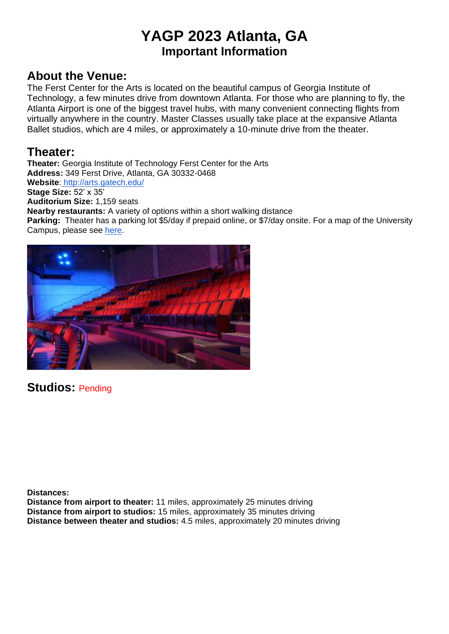## **YAGP 2023 Atlanta, GA Important Information**

### **About the Venue:**

The Ferst Center for the Arts is located on the beautiful campus of Georgia Institute of Technology, a few minutes drive from downtown Atlanta. For those who are planning to fly, the Atlanta Airport is one of the biggest travel hubs, with many convenient connecting flights from virtually anywhere in the country. Master Classes usually take place at the expansive Atlanta Ballet studios, which are 4 miles, or approximately a 10-minute drive from the theater.

### **Theater:**

**Theater:** Georgia Institute of Technology Ferst Center for the Arts **Address:** 349 Ferst Drive, Atlanta, GA 30332-0468 **Website**: <http://arts.gatech.edu/> **Stage Size:** 52' x 35' **Auditorium Size:** 1,159 seats **Nearby restaurants:** A variety of options within a short walking distance **Parking:** Theater has a parking lot \$5/day if prepaid online, or \$7/day onsite. For a map of the University Campus, please see [here.](http://arts.gatech.edu/directions-and-parking-0)



**Studios:** Pending

**Distances:**

**Distance from airport to theater:** 11 miles, approximately 25 minutes driving **Distance from airport to studios:** 15 miles, approximately 35 minutes driving **Distance between theater and studios:** 4.5 miles, approximately 20 minutes driving